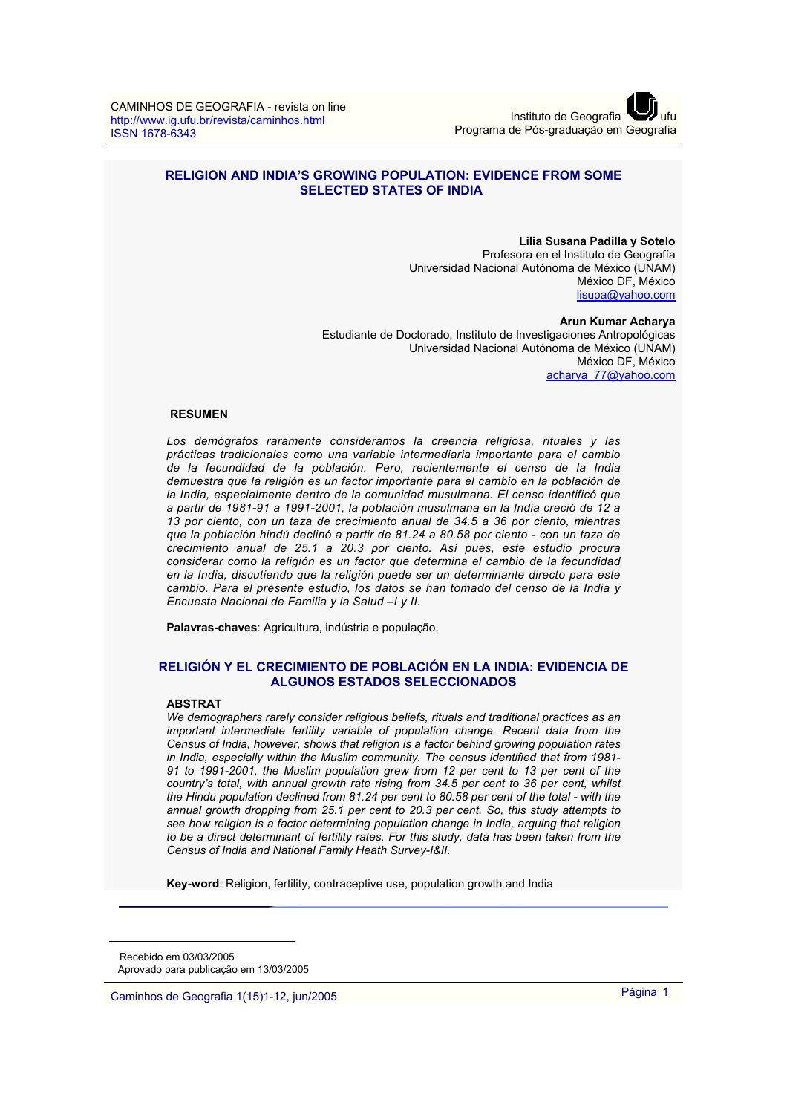## **RELIGION AND INDIA'S GROWING POPULATION: EVIDENCE FROM SOME SELECTED STATES OF INDIA<sup>1</sup>**

# **Lilia Susana Padilla y Sotelo**

Profesora en el Instituto de Geografía Universidad Nacional Autónoma de México (UNAM) México DF, México lisupa@yahoo.com

**Arun Kumar Acharya**  Estudiante de Doctorado, Instituto de Investigaciones Antropológicas Universidad Nacional Autónoma de México (UNAM) México DF, México acharya\_77@yahoo.com

#### **RESUMEN**

*Los demógrafos raramente consideramos la creencia religiosa, rituales y las prácticas tradicionales como una variable intermediaria importante para el cambio de la fecundidad de la población. Pero, recientemente el censo de la India demuestra que la religión es un factor importante para el cambio en la población de la India, especialmente dentro de la comunidad musulmana. El censo identificó que a partir de 1981-91 a 1991-2001, la población musulmana en la India creció de 12 a 13 por ciento, con un taza de crecimiento anual de 34.5 a 36 por ciento, mientras que la población hindú declinó a partir de 81.24 a 80.58 por ciento - con un taza de crecimiento anual de 25.1 a 20.3 por ciento. Así pues, este estudio procura considerar como la religión es un factor que determina el cambio de la fecundidad en la India, discutiendo que la religión puede ser un determinante directo para este cambio. Para el presente estudio, los datos se han tomado del censo de la India y Encuesta Nacional de Familia y la Salud –I y II.* 

**Palavras-chaves**: Agricultura, indústria e população.

#### **RELIGIÓN Y EL CRECIMIENTO DE POBLACIÓN EN LA INDIA: EVIDENCIA DE ALGUNOS ESTADOS SELECCIONADOS**

#### **ABSTRAT**

*We demographers rarely consider religious beliefs, rituals and traditional practices as an important intermediate fertility variable of population change. Recent data from the Census of India, however, shows that religion is a factor behind growing population rates in India, especially within the Muslim community. The census identified that from 1981- 91 to 1991-2001, the Muslim population grew from 12 per cent to 13 per cent of the country's total, with annual growth rate rising from 34.5 per cent to 36 per cent, whilst the Hindu population declined from 81.24 per cent to 80.58 per cent of the total - with the annual growth dropping from 25.1 per cent to 20.3 per cent. So, this study attempts to*  see how religion is a factor determining population change in India, arguing that religion *to be a direct determinant of fertility rates. For this study, data has been taken from the Census of India and National Family Heath Survey-I&II.* 

**Key-word**: Religion, fertility, contraceptive use, population growth and India

<sup>1</sup> Recebido em 03/03/2005 Aprovado para publicação em 13/03/2005

Caminhos de Geografia 1(15)1-12, jun/2005 Página 1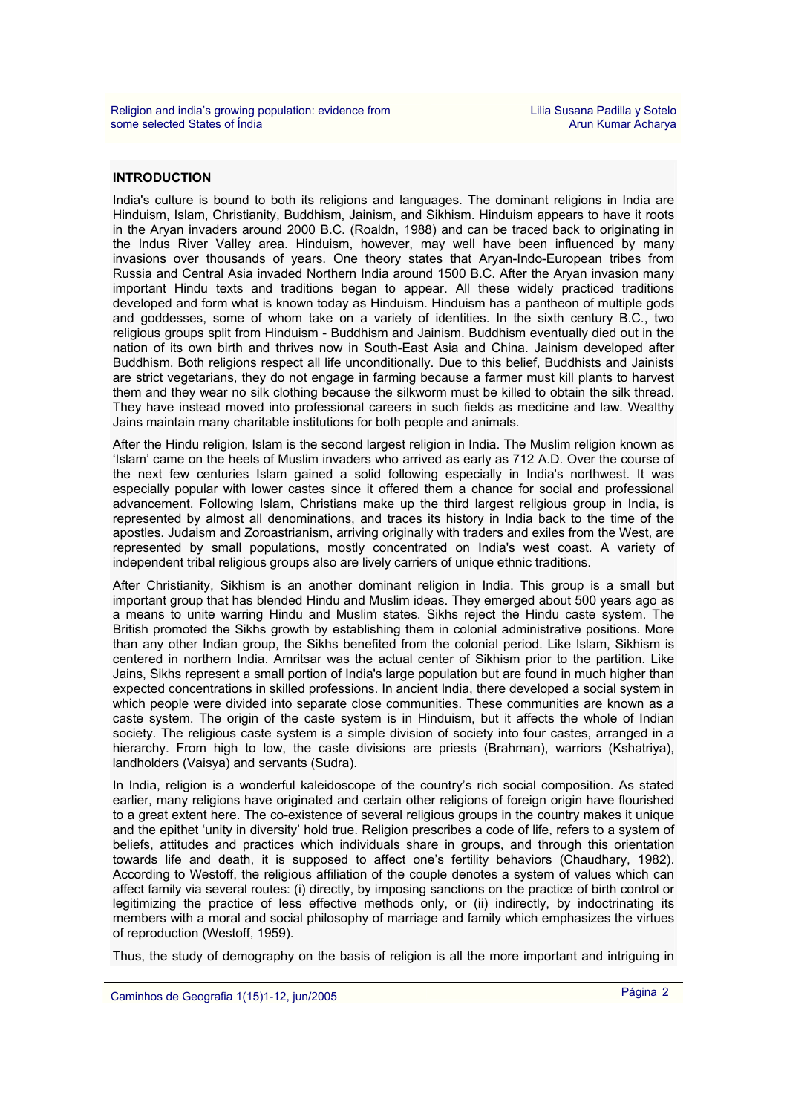## **INTRODUCTION**

India's culture is bound to both its religions and languages. The dominant religions in India are Hinduism, Islam, Christianity, Buddhism, Jainism, and Sikhism. Hinduism appears to have it roots in the Aryan invaders around 2000 B.C. (Roaldn, 1988) and can be traced back to originating in the Indus River Valley area. Hinduism, however, may well have been influenced by many invasions over thousands of years. One theory states that Aryan-Indo-European tribes from Russia and Central Asia invaded Northern India around 1500 B.C. After the Aryan invasion many important Hindu texts and traditions began to appear. All these widely practiced traditions developed and form what is known today as Hinduism. Hinduism has a pantheon of multiple gods and goddesses, some of whom take on a variety of identities. In the sixth century B.C., two religious groups split from Hinduism - Buddhism and Jainism. Buddhism eventually died out in the nation of its own birth and thrives now in South-East Asia and China. Jainism developed after Buddhism. Both religions respect all life unconditionally. Due to this belief, Buddhists and Jainists are strict vegetarians, they do not engage in farming because a farmer must kill plants to harvest them and they wear no silk clothing because the silkworm must be killed to obtain the silk thread. They have instead moved into professional careers in such fields as medicine and law. Wealthy Jains maintain many charitable institutions for both people and animals.

After the Hindu religion, Islam is the second largest religion in India. The Muslim religion known as 'Islam' came on the heels of Muslim invaders who arrived as early as 712 A.D. Over the course of the next few centuries Islam gained a solid following especially in India's northwest. It was especially popular with lower castes since it offered them a chance for social and professional advancement. Following Islam, Christians make up the third largest religious group in India, is represented by almost all denominations, and traces its history in India back to the time of the apostles. Judaism and Zoroastrianism, arriving originally with traders and exiles from the West, are represented by small populations, mostly concentrated on India's west coast. A variety of independent tribal religious groups also are lively carriers of unique ethnic traditions.

After Christianity, Sikhism is an another dominant religion in India. This group is a small but important group that has blended Hindu and Muslim ideas. They emerged about 500 years ago as a means to unite warring Hindu and Muslim states. Sikhs reject the Hindu caste system. The British promoted the Sikhs growth by establishing them in colonial administrative positions. More than any other Indian group, the Sikhs benefited from the colonial period. Like Islam, Sikhism is centered in northern India. Amritsar was the actual center of Sikhism prior to the partition. Like Jains, Sikhs represent a small portion of India's large population but are found in much higher than expected concentrations in skilled professions. In ancient India, there developed a social system in which people were divided into separate close communities. These communities are known as a caste system. The origin of the caste system is in Hinduism, but it affects the whole of Indian society. The religious caste system is a simple division of society into four castes, arranged in a hierarchy. From high to low, the caste divisions are priests (Brahman), warriors (Kshatriya), landholders (Vaisya) and servants (Sudra).

In India, religion is a wonderful kaleidoscope of the country's rich social composition. As stated earlier, many religions have originated and certain other religions of foreign origin have flourished to a great extent here. The co-existence of several religious groups in the country makes it unique and the epithet 'unity in diversity' hold true. Religion prescribes a code of life, refers to a system of beliefs, attitudes and practices which individuals share in groups, and through this orientation towards life and death, it is supposed to affect one's fertility behaviors (Chaudhary, 1982). According to Westoff, the religious affiliation of the couple denotes a system of values which can affect family via several routes: (i) directly, by imposing sanctions on the practice of birth control or legitimizing the practice of less effective methods only, or (ii) indirectly, by indoctrinating its members with a moral and social philosophy of marriage and family which emphasizes the virtues of reproduction (Westoff, 1959).

Thus, the study of demography on the basis of religion is all the more important and intriguing in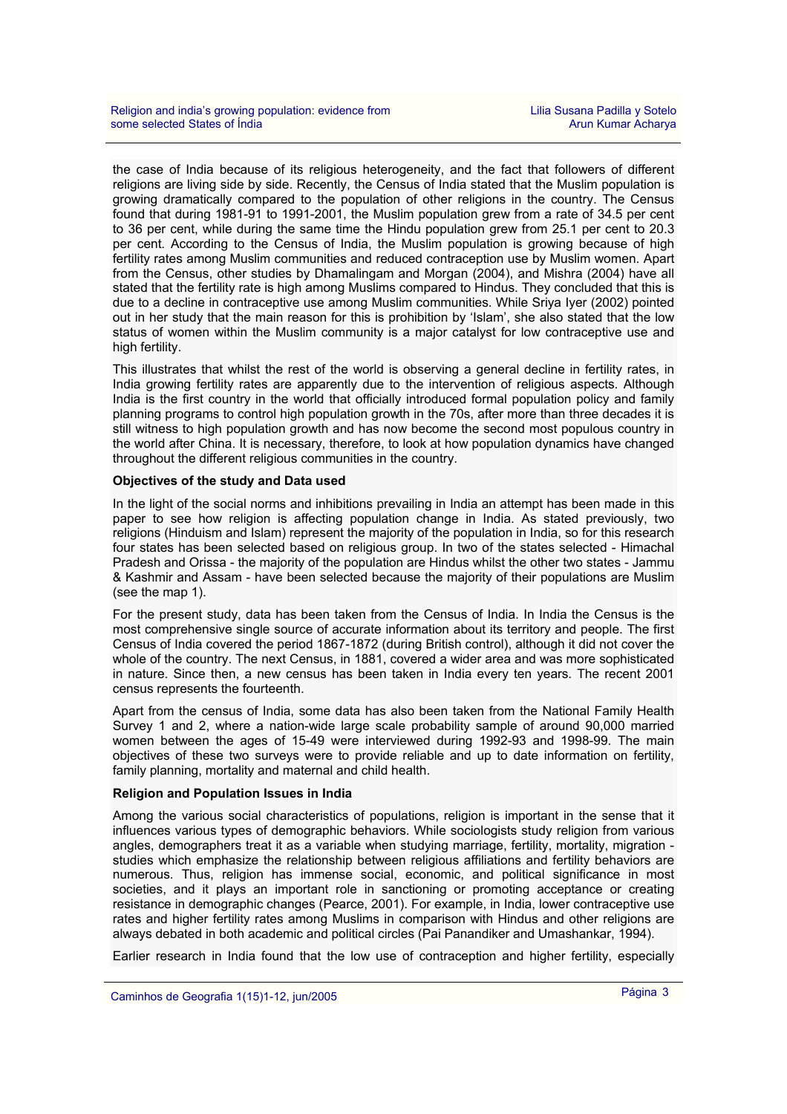the case of India because of its religious heterogeneity, and the fact that followers of different religions are living side by side. Recently, the Census of India stated that the Muslim population is growing dramatically compared to the population of other religions in the country. The Census found that during 1981-91 to 1991-2001, the Muslim population grew from a rate of 34.5 per cent to 36 per cent, while during the same time the Hindu population grew from 25.1 per cent to 20.3 per cent. According to the Census of India, the Muslim population is growing because of high fertility rates among Muslim communities and reduced contraception use by Muslim women. Apart from the Census, other studies by Dhamalingam and Morgan (2004), and Mishra (2004) have all stated that the fertility rate is high among Muslims compared to Hindus. They concluded that this is due to a decline in contraceptive use among Muslim communities. While Sriya Iyer (2002) pointed out in her study that the main reason for this is prohibition by 'Islam', she also stated that the low status of women within the Muslim community is a major catalyst for low contraceptive use and high fertility.

This illustrates that whilst the rest of the world is observing a general decline in fertility rates, in India growing fertility rates are apparently due to the intervention of religious aspects. Although India is the first country in the world that officially introduced formal population policy and family planning programs to control high population growth in the 70s, after more than three decades it is still witness to high population growth and has now become the second most populous country in the world after China. It is necessary, therefore, to look at how population dynamics have changed throughout the different religious communities in the country.

## **Objectives of the study and Data used**

In the light of the social norms and inhibitions prevailing in India an attempt has been made in this paper to see how religion is affecting population change in India. As stated previously, two religions (Hinduism and Islam) represent the majority of the population in India, so for this research four states has been selected based on religious group. In two of the states selected - Himachal Pradesh and Orissa - the majority of the population are Hindus whilst the other two states - Jammu & Kashmir and Assam - have been selected because the majority of their populations are Muslim (see the map 1).

For the present study, data has been taken from the Census of India. In India the Census is the most comprehensive single source of accurate information about its territory and people. The first Census of India covered the period 1867-1872 (during British control), although it did not cover the whole of the country. The next Census, in 1881, covered a wider area and was more sophisticated in nature. Since then, a new census has been taken in India every ten years. The recent 2001 census represents the fourteenth.

Apart from the census of India, some data has also been taken from the National Family Health Survey 1 and 2, where a nation-wide large scale probability sample of around 90,000 married women between the ages of 15-49 were interviewed during 1992-93 and 1998-99. The main objectives of these two surveys were to provide reliable and up to date information on fertility, family planning, mortality and maternal and child health.

## **Religion and Population Issues in India**

Among the various social characteristics of populations, religion is important in the sense that it influences various types of demographic behaviors. While sociologists study religion from various angles, demographers treat it as a variable when studying marriage, fertility, mortality, migration studies which emphasize the relationship between religious affiliations and fertility behaviors are numerous. Thus, religion has immense social, economic, and political significance in most societies, and it plays an important role in sanctioning or promoting acceptance or creating resistance in demographic changes (Pearce, 2001). For example, in India, lower contraceptive use rates and higher fertility rates among Muslims in comparison with Hindus and other religions are always debated in both academic and political circles (Pai Panandiker and Umashankar, 1994).

Earlier research in India found that the low use of contraception and higher fertility, especially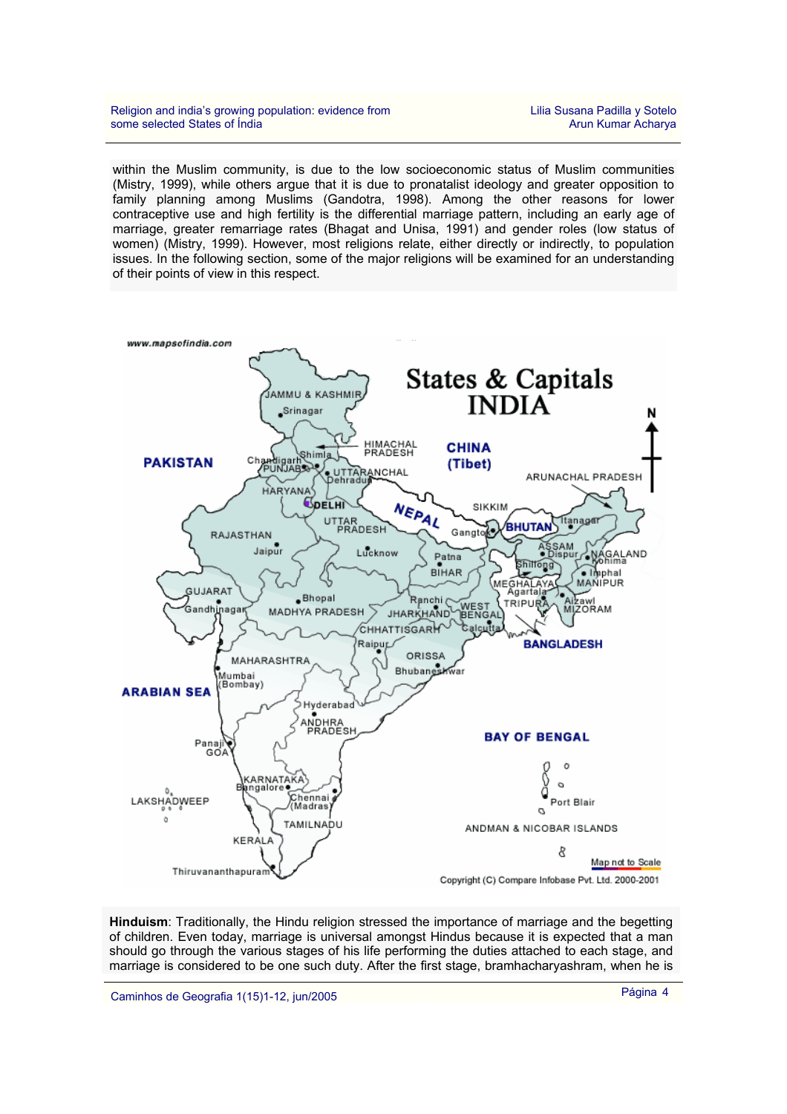within the Muslim community, is due to the low socioeconomic status of Muslim communities (Mistry, 1999), while others argue that it is due to pronatalist ideology and greater opposition to family planning among Muslims (Gandotra, 1998). Among the other reasons for lower contraceptive use and high fertility is the differential marriage pattern, including an early age of marriage, greater remarriage rates (Bhagat and Unisa, 1991) and gender roles (low status of women) (Mistry, 1999). However, most religions relate, either directly or indirectly, to population issues. In the following section, some of the major religions will be examined for an understanding of their points of view in this respect.



**Hinduism**: Traditionally, the Hindu religion stressed the importance of marriage and the begetting of children. Even today, marriage is universal amongst Hindus because it is expected that a man should go through the various stages of his life performing the duties attached to each stage, and marriage is considered to be one such duty. After the first stage, bramhacharyashram, when he is

Caminhos de Geografia 1(15)1-12, jun/2005 Página 4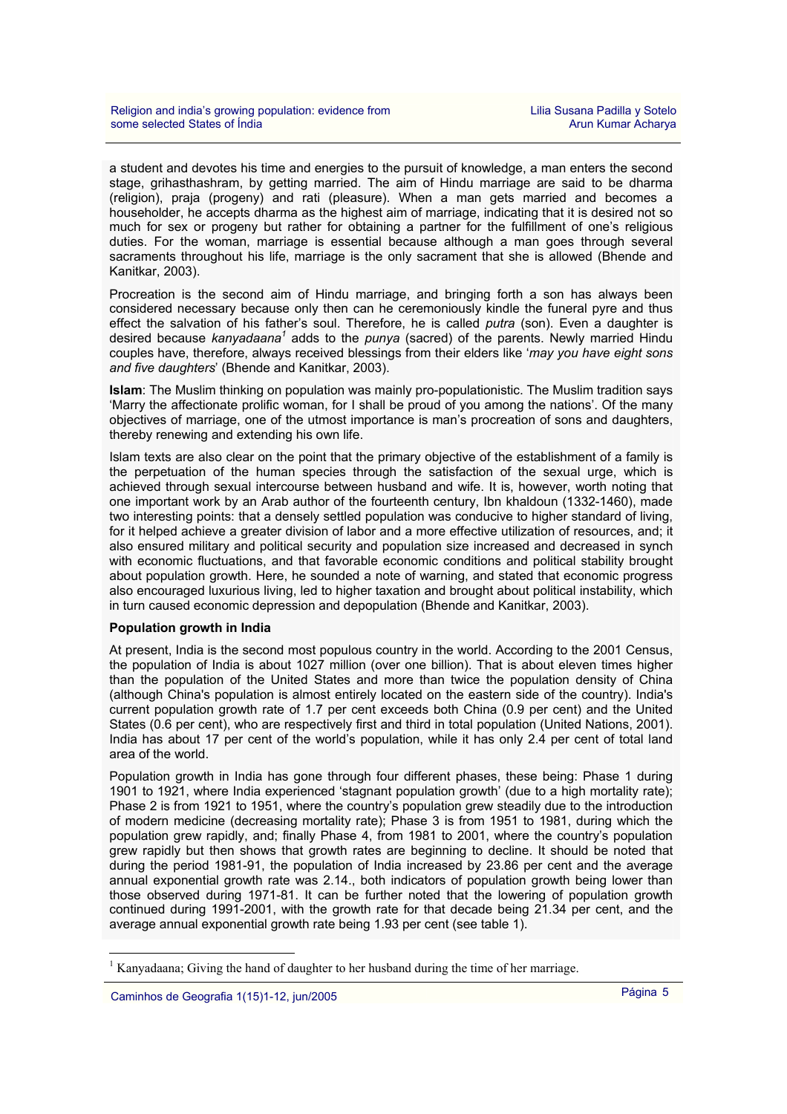a student and devotes his time and energies to the pursuit of knowledge, a man enters the second stage, grihasthashram, by getting married. The aim of Hindu marriage are said to be dharma (religion), praja (progeny) and rati (pleasure). When a man gets married and becomes a householder, he accepts dharma as the highest aim of marriage, indicating that it is desired not so much for sex or progeny but rather for obtaining a partner for the fulfillment of one's religious duties. For the woman, marriage is essential because although a man goes through several sacraments throughout his life, marriage is the only sacrament that she is allowed (Bhende and Kanitkar, 2003).

Procreation is the second aim of Hindu marriage, and bringing forth a son has always been considered necessary because only then can he ceremoniously kindle the funeral pyre and thus effect the salvation of his father's soul. Therefore, he is called *putra* (son). Even a daughter is desired because kanyadaana<sup>1</sup> adds to the *punya* (sacred) of the parents. Newly married Hindu couples have, therefore, always received blessings from their elders like '*may you have eight sons and five daughters*' (Bhende and Kanitkar, 2003).

**Islam**: The Muslim thinking on population was mainly pro-populationistic. The Muslim tradition says 'Marry the affectionate prolific woman, for I shall be proud of you among the nations'. Of the many objectives of marriage, one of the utmost importance is man's procreation of sons and daughters, thereby renewing and extending his own life.

Islam texts are also clear on the point that the primary objective of the establishment of a family is the perpetuation of the human species through the satisfaction of the sexual urge, which is achieved through sexual intercourse between husband and wife. It is, however, worth noting that one important work by an Arab author of the fourteenth century, Ibn khaldoun (1332-1460), made two interesting points: that a densely settled population was conducive to higher standard of living, for it helped achieve a greater division of labor and a more effective utilization of resources. and: it also ensured military and political security and population size increased and decreased in synch with economic fluctuations, and that favorable economic conditions and political stability brought about population growth. Here, he sounded a note of warning, and stated that economic progress also encouraged luxurious living, led to higher taxation and brought about political instability, which in turn caused economic depression and depopulation (Bhende and Kanitkar, 2003).

## **Population growth in India**

At present, India is the second most populous country in the world. According to the 2001 Census, the population of India is about 1027 million (over one billion). That is about eleven times higher than the population of the United States and more than twice the population density of China (although China's population is almost entirely located on the eastern side of the country). India's current population growth rate of 1.7 per cent exceeds both China (0.9 per cent) and the United States (0.6 per cent), who are respectively first and third in total population (United Nations, 2001). India has about 17 per cent of the world's population, while it has only 2.4 per cent of total land area of the world.

Population growth in India has gone through four different phases, these being: Phase 1 during 1901 to 1921, where India experienced 'stagnant population growth' (due to a high mortality rate); Phase 2 is from 1921 to 1951, where the country's population grew steadily due to the introduction of modern medicine (decreasing mortality rate); Phase 3 is from 1951 to 1981, during which the population grew rapidly, and; finally Phase 4, from 1981 to 2001, where the country's population grew rapidly but then shows that growth rates are beginning to decline. It should be noted that during the period 1981-91, the population of India increased by 23.86 per cent and the average annual exponential growth rate was 2.14., both indicators of population growth being lower than those observed during 1971-81. It can be further noted that the lowering of population growth continued during 1991-2001, with the growth rate for that decade being 21.34 per cent, and the average annual exponential growth rate being 1.93 per cent (see table 1).

 $\overline{a}$ 

<sup>&</sup>lt;sup>1</sup> Kanyadaana; Giving the hand of daughter to her husband during the time of her marriage.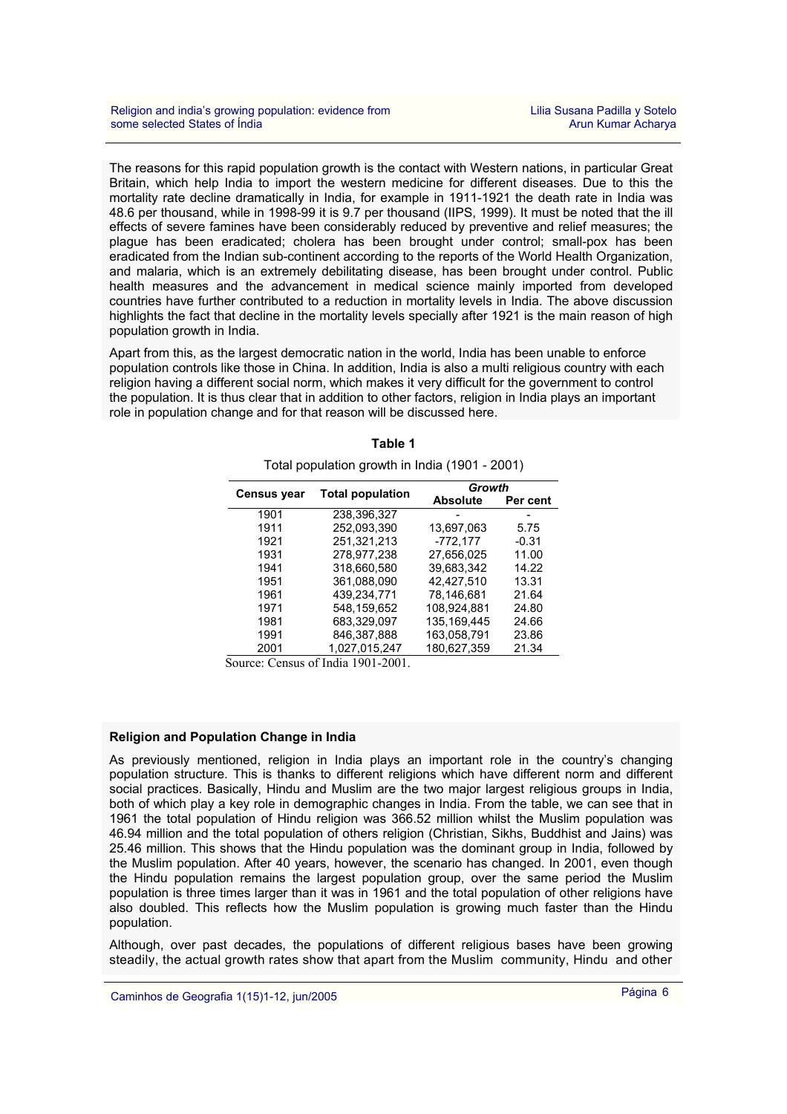The reasons for this rapid population growth is the contact with Western nations, in particular Great Britain, which help India to import the western medicine for different diseases. Due to this the mortality rate decline dramatically in India, for example in 1911-1921 the death rate in India was 48.6 per thousand, while in 1998-99 it is 9.7 per thousand (IIPS, 1999). It must be noted that the ill effects of severe famines have been considerably reduced by preventive and relief measures; the plague has been eradicated; cholera has been brought under control; small-pox has been eradicated from the Indian sub-continent according to the reports of the World Health Organization, and malaria, which is an extremely debilitating disease, has been brought under control. Public health measures and the advancement in medical science mainly imported from developed countries have further contributed to a reduction in mortality levels in India. The above discussion highlights the fact that decline in the mortality levels specially after 1921 is the main reason of high population growth in India.

Apart from this, as the largest democratic nation in the world, India has been unable to enforce population controls like those in China. In addition, India is also a multi religious country with each religion having a different social norm, which makes it very difficult for the government to control the population. It is thus clear that in addition to other factors, religion in India plays an important role in population change and for that reason will be discussed here.

| $\frac{1}{2}$ . $\frac{1}{2}$ . $\frac{1}{2}$ . $\frac{1}{2}$ . $\frac{1}{2}$ . $\frac{1}{2}$ . $\frac{1}{2}$ . $\frac{1}{2}$ . $\frac{1}{2}$ . $\frac{1}{2}$ . $\frac{1}{2}$ |                         |                 |          |  |  |  |
|-------------------------------------------------------------------------------------------------------------------------------------------------------------------------------|-------------------------|-----------------|----------|--|--|--|
|                                                                                                                                                                               | <b>Total population</b> |                 | Growth   |  |  |  |
| <b>Census year</b>                                                                                                                                                            |                         | <b>Absolute</b> | Per cent |  |  |  |
| 1901                                                                                                                                                                          | 238,396,327             |                 |          |  |  |  |
| 1911                                                                                                                                                                          | 252.093.390             | 13,697,063      | 5.75     |  |  |  |
| 1921                                                                                                                                                                          | 251,321,213             | $-772,177$      | $-0.31$  |  |  |  |
| 1931                                                                                                                                                                          | 278.977.238             | 27,656,025      | 11.00    |  |  |  |
| 1941                                                                                                                                                                          | 318.660.580             | 39,683,342      | 14.22    |  |  |  |
| 1951                                                                                                                                                                          | 361.088.090             | 42.427.510      | 13.31    |  |  |  |
| 1961                                                                                                                                                                          | 439.234.771             | 78.146.681      | 21.64    |  |  |  |
| 1971                                                                                                                                                                          | 548,159,652             | 108.924.881     | 24.80    |  |  |  |
| 1981                                                                                                                                                                          | 683.329.097             | 135.169.445     | 24.66    |  |  |  |
| 1991                                                                                                                                                                          | 846,387,888             | 163,058,791     | 23.86    |  |  |  |
| 2001                                                                                                                                                                          | 1.027.015.247           | 180.627.359     | 21.34    |  |  |  |

**Table 1**  Total population growth in India (1901 - 2001)

Source: Census of India 1901-2001.

## **Religion and Population Change in India**

As previously mentioned, religion in India plays an important role in the country's changing population structure. This is thanks to different religions which have different norm and different social practices. Basically, Hindu and Muslim are the two major largest religious groups in India, both of which play a key role in demographic changes in India. From the table, we can see that in 1961 the total population of Hindu religion was 366.52 million whilst the Muslim population was 46.94 million and the total population of others religion (Christian, Sikhs, Buddhist and Jains) was 25.46 million. This shows that the Hindu population was the dominant group in India, followed by the Muslim population. After 40 years, however, the scenario has changed. In 2001, even though the Hindu population remains the largest population group, over the same period the Muslim population is three times larger than it was in 1961 and the total population of other religions have also doubled. This reflects how the Muslim population is growing much faster than the Hindu population.

Although, over past decades, the populations of different religious bases have been growing steadily, the actual growth rates show that apart from the Muslim community, Hindu and other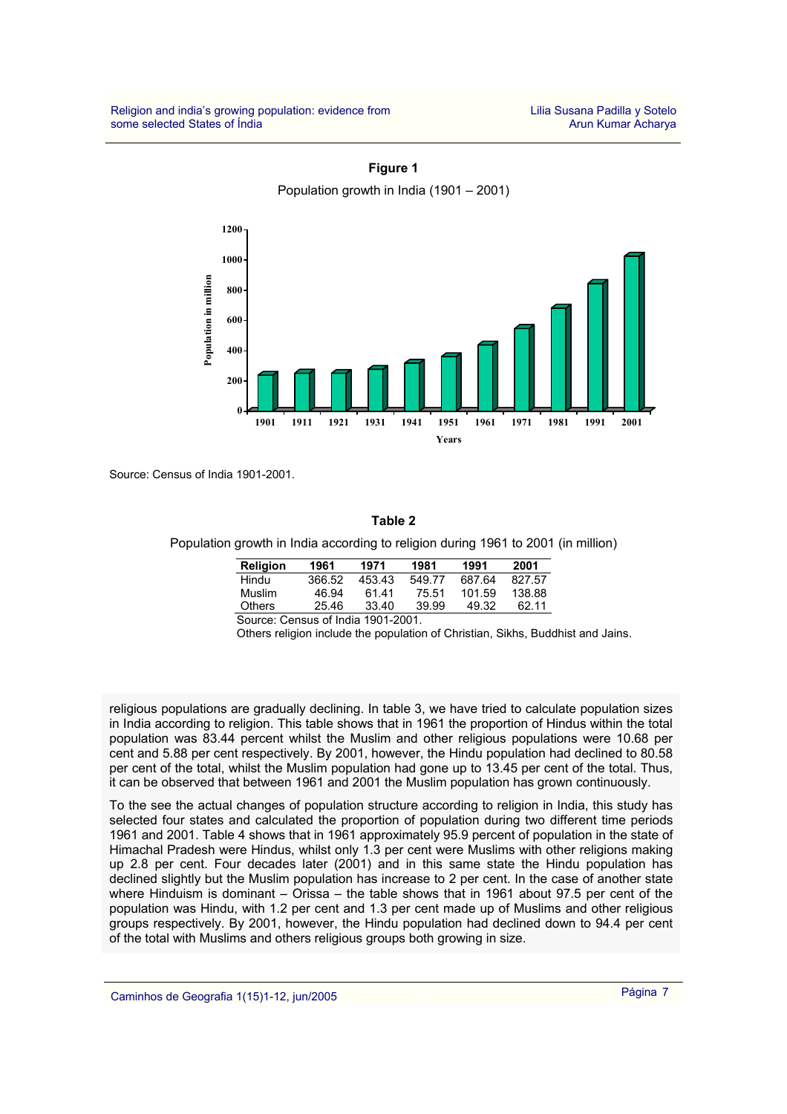

**Figure 1**  Population growth in India (1901 – 2001)

Source: Census of India 1901-2001.

#### **Table 2**

Population growth in India according to religion during 1961 to 2001 (in million)

| Religion | 1961   | 1971  | 1981   | 1991   | 2001   |
|----------|--------|-------|--------|--------|--------|
| Hindu    | 366.52 | 45343 | 549.77 | 687.64 | 827.57 |
| Muslim   | 46.94  | 61 41 | 75.51  | 101.59 | 138.88 |
| Others   | 25.46  | 33.40 | 39.99  | 49.32  | 62.11  |

Source: Census of India 1901-2001.

Others religion include the population of Christian, Sikhs, Buddhist and Jains.

religious populations are gradually declining. In table 3, we have tried to calculate population sizes in India according to religion. This table shows that in 1961 the proportion of Hindus within the total population was 83.44 percent whilst the Muslim and other religious populations were 10.68 per cent and 5.88 per cent respectively. By 2001, however, the Hindu population had declined to 80.58 per cent of the total, whilst the Muslim population had gone up to 13.45 per cent of the total. Thus, it can be observed that between 1961 and 2001 the Muslim population has grown continuously.

To the see the actual changes of population structure according to religion in India, this study has selected four states and calculated the proportion of population during two different time periods 1961 and 2001. Table 4 shows that in 1961 approximately 95.9 percent of population in the state of Himachal Pradesh were Hindus, whilst only 1.3 per cent were Muslims with other religions making up 2.8 per cent. Four decades later (2001) and in this same state the Hindu population has declined slightly but the Muslim population has increase to 2 per cent. In the case of another state where Hinduism is dominant – Orissa – the table shows that in 1961 about 97.5 per cent of the population was Hindu, with 1.2 per cent and 1.3 per cent made up of Muslims and other religious groups respectively. By 2001, however, the Hindu population had declined down to 94.4 per cent of the total with Muslims and others religious groups both growing in size.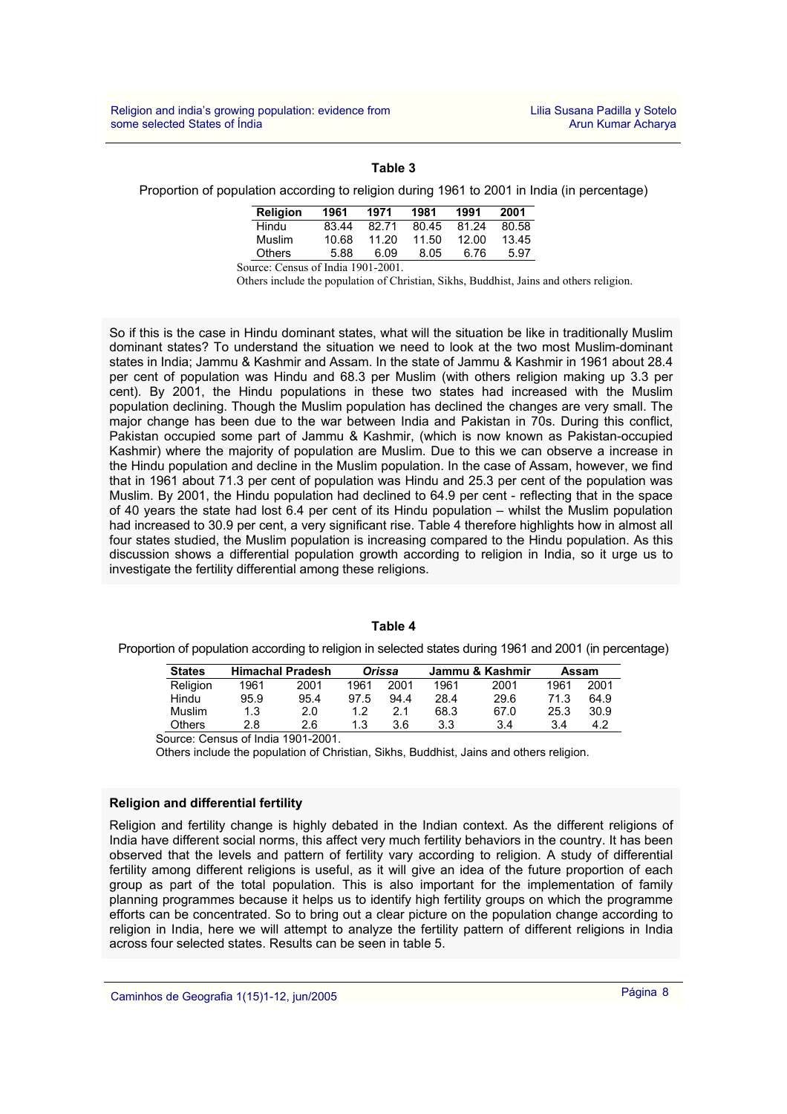## **Table 3**

#### Proportion of population according to religion during 1961 to 2001 in India (in percentage)

| Religion | 1961  | 1971  | 1981  | 1991  | 2001  |
|----------|-------|-------|-------|-------|-------|
| Hindu    | 83.44 | 82.71 | 80.45 | 81.24 | 80.58 |
| Muslim   | 10.68 | 11.20 | 11.50 | 12.00 | 13.45 |
| Others   | 5.88  | 6.09  | 8.05  | 6.76  | 5.97  |

Source: Census of India 1901-2001.

Others include the population of Christian, Sikhs, Buddhist, Jains and others religion.

So if this is the case in Hindu dominant states, what will the situation be like in traditionally Muslim dominant states? To understand the situation we need to look at the two most Muslim-dominant states in India; Jammu & Kashmir and Assam. In the state of Jammu & Kashmir in 1961 about 28.4 per cent of population was Hindu and 68.3 per Muslim (with others religion making up 3.3 per cent). By 2001, the Hindu populations in these two states had increased with the Muslim population declining. Though the Muslim population has declined the changes are very small. The major change has been due to the war between India and Pakistan in 70s. During this conflict, Pakistan occupied some part of Jammu & Kashmir, (which is now known as Pakistan-occupied Kashmir) where the majority of population are Muslim. Due to this we can observe a increase in the Hindu population and decline in the Muslim population. In the case of Assam, however, we find that in 1961 about 71.3 per cent of population was Hindu and 25.3 per cent of the population was Muslim. By 2001, the Hindu population had declined to 64.9 per cent - reflecting that in the space of 40 years the state had lost 6.4 per cent of its Hindu population – whilst the Muslim population had increased to 30.9 per cent, a very significant rise. Table 4 therefore highlights how in almost all four states studied, the Muslim population is increasing compared to the Hindu population. As this discussion shows a differential population growth according to religion in India, so it urge us to investigate the fertility differential among these religions.

## **Table 4**

Proportion of population according to religion in selected states during 1961 and 2001 (in percentage)

| <b>States</b>                                                                                                                                                                                                                   | <b>Himachal Pradesh</b> |      | Orissa |      | Jammu & Kashmir |      | Assam |      |
|---------------------------------------------------------------------------------------------------------------------------------------------------------------------------------------------------------------------------------|-------------------------|------|--------|------|-----------------|------|-------|------|
| Religion                                                                                                                                                                                                                        | 1961                    | 2001 | 1961   | 2001 | 1961            | 2001 | 1961  | 2001 |
| Hindu                                                                                                                                                                                                                           | 95.9                    | 95.4 | 97.5   | 94.4 | 28.4            | 29.6 | 71.3  | 64.9 |
| Muslim                                                                                                                                                                                                                          | 1.3                     | 2.0  | 1.2    | 2.1  | 68.3            | 67.0 | 25.3  | 30.9 |
| <b>Others</b>                                                                                                                                                                                                                   | 2.8                     | 2.6  | 1.3    | 3.6  | 3.3             | 3.4  | 3.4   | 4.2  |
| $\sim$ 0.000 NORTH of the start of the start of the start of the start of the start of the start of the start of the start of the start of the start of the start of the start of the start of the start of the start of the st |                         |      |        |      |                 |      |       |      |

Source: Census of India 1901-2001.

Others include the population of Christian, Sikhs, Buddhist, Jains and others religion.

## **Religion and differential fertility**

Religion and fertility change is highly debated in the Indian context. As the different religions of India have different social norms, this affect very much fertility behaviors in the country. It has been observed that the levels and pattern of fertility vary according to religion. A study of differential fertility among different religions is useful, as it will give an idea of the future proportion of each group as part of the total population. This is also important for the implementation of family planning programmes because it helps us to identify high fertility groups on which the programme efforts can be concentrated. So to bring out a clear picture on the population change according to religion in India, here we will attempt to analyze the fertility pattern of different religions in India across four selected states. Results can be seen in table 5.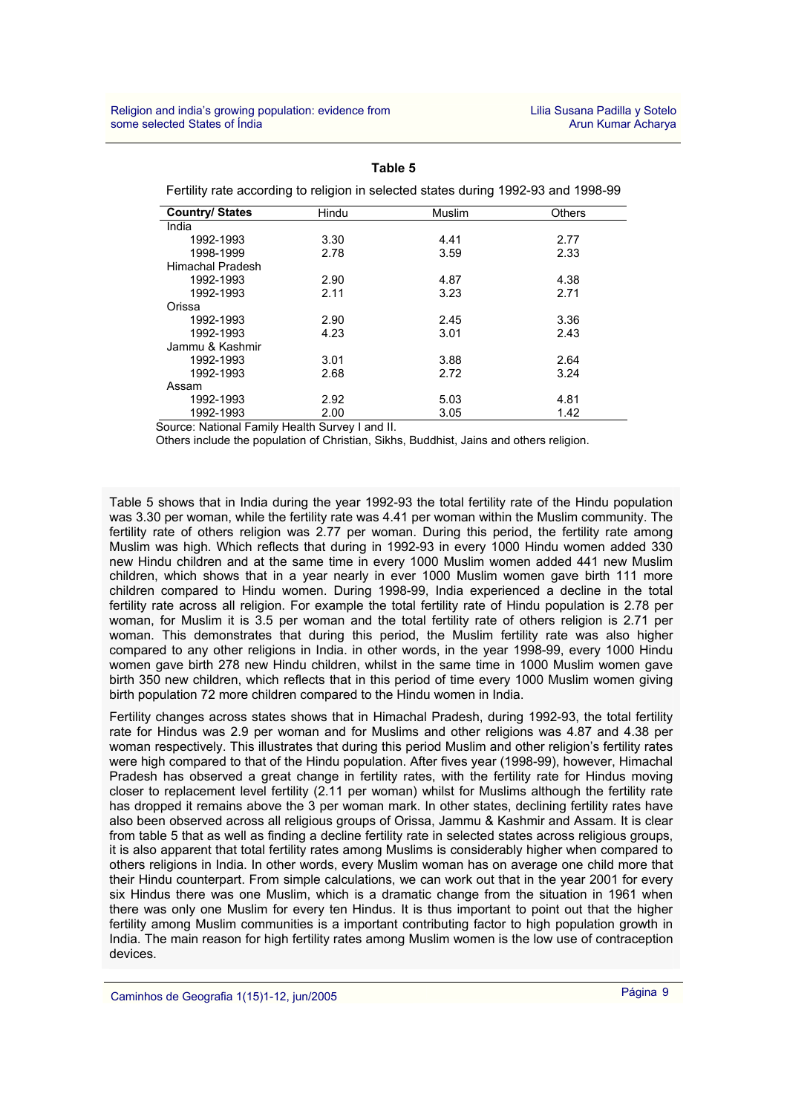| Leitility rate according to religion in selected states during 1992-99 and 1990-99 |       |               |               |  |  |
|------------------------------------------------------------------------------------|-------|---------------|---------------|--|--|
| <b>Country/States</b>                                                              | Hindu | <b>Muslim</b> | <b>Others</b> |  |  |
| India                                                                              |       |               |               |  |  |
| 1992-1993                                                                          | 3.30  | 4.41          | 2.77          |  |  |
| 1998-1999                                                                          | 2.78  | 3.59          | 2.33          |  |  |
| <b>Himachal Pradesh</b>                                                            |       |               |               |  |  |
| 1992-1993                                                                          | 2.90  | 4.87          | 4.38          |  |  |
| 1992-1993                                                                          | 2.11  | 3.23          | 2.71          |  |  |
| Orissa                                                                             |       |               |               |  |  |
| 1992-1993                                                                          | 2.90  | 2.45          | 3.36          |  |  |
| 1992-1993                                                                          | 4.23  | 3.01          | 2.43          |  |  |
| Jammu & Kashmir                                                                    |       |               |               |  |  |
| 1992-1993                                                                          | 3.01  | 3.88          | 2.64          |  |  |
| 1992-1993                                                                          | 2.68  | 2.72          | 3.24          |  |  |
| Assam                                                                              |       |               |               |  |  |
| 1992-1993                                                                          | 2.92  | 5.03          | 4.81          |  |  |
| 1992-1993                                                                          | 2.00  | 3.05          | 1.42          |  |  |

**Table 5** 

Fertility rate according to religion in selected states during 1992-93 and 1998-99

Source: National Family Health Survey I and II.

Others include the population of Christian, Sikhs, Buddhist, Jains and others religion.

Table 5 shows that in India during the year 1992-93 the total fertility rate of the Hindu population was 3.30 per woman, while the fertility rate was 4.41 per woman within the Muslim community. The fertility rate of others religion was 2.77 per woman. During this period, the fertility rate among Muslim was high. Which reflects that during in 1992-93 in every 1000 Hindu women added 330 new Hindu children and at the same time in every 1000 Muslim women added 441 new Muslim children, which shows that in a year nearly in ever 1000 Muslim women gave birth 111 more children compared to Hindu women. During 1998-99, India experienced a decline in the total fertility rate across all religion. For example the total fertility rate of Hindu population is 2.78 per woman, for Muslim it is 3.5 per woman and the total fertility rate of others religion is 2.71 per woman. This demonstrates that during this period, the Muslim fertility rate was also higher compared to any other religions in India. in other words, in the year 1998-99, every 1000 Hindu women gave birth 278 new Hindu children, whilst in the same time in 1000 Muslim women gave birth 350 new children, which reflects that in this period of time every 1000 Muslim women giving birth population 72 more children compared to the Hindu women in India.

Fertility changes across states shows that in Himachal Pradesh, during 1992-93, the total fertility rate for Hindus was 2.9 per woman and for Muslims and other religions was 4.87 and 4.38 per woman respectively. This illustrates that during this period Muslim and other religion's fertility rates were high compared to that of the Hindu population. After fives year (1998-99), however, Himachal Pradesh has observed a great change in fertility rates, with the fertility rate for Hindus moving closer to replacement level fertility (2.11 per woman) whilst for Muslims although the fertility rate has dropped it remains above the 3 per woman mark. In other states, declining fertility rates have also been observed across all religious groups of Orissa, Jammu & Kashmir and Assam. It is clear from table 5 that as well as finding a decline fertility rate in selected states across religious groups, it is also apparent that total fertility rates among Muslims is considerably higher when compared to others religions in India. In other words, every Muslim woman has on average one child more that their Hindu counterpart. From simple calculations, we can work out that in the year 2001 for every six Hindus there was one Muslim, which is a dramatic change from the situation in 1961 when there was only one Muslim for every ten Hindus. It is thus important to point out that the higher fertility among Muslim communities is a important contributing factor to high population growth in India. The main reason for high fertility rates among Muslim women is the low use of contraception devices.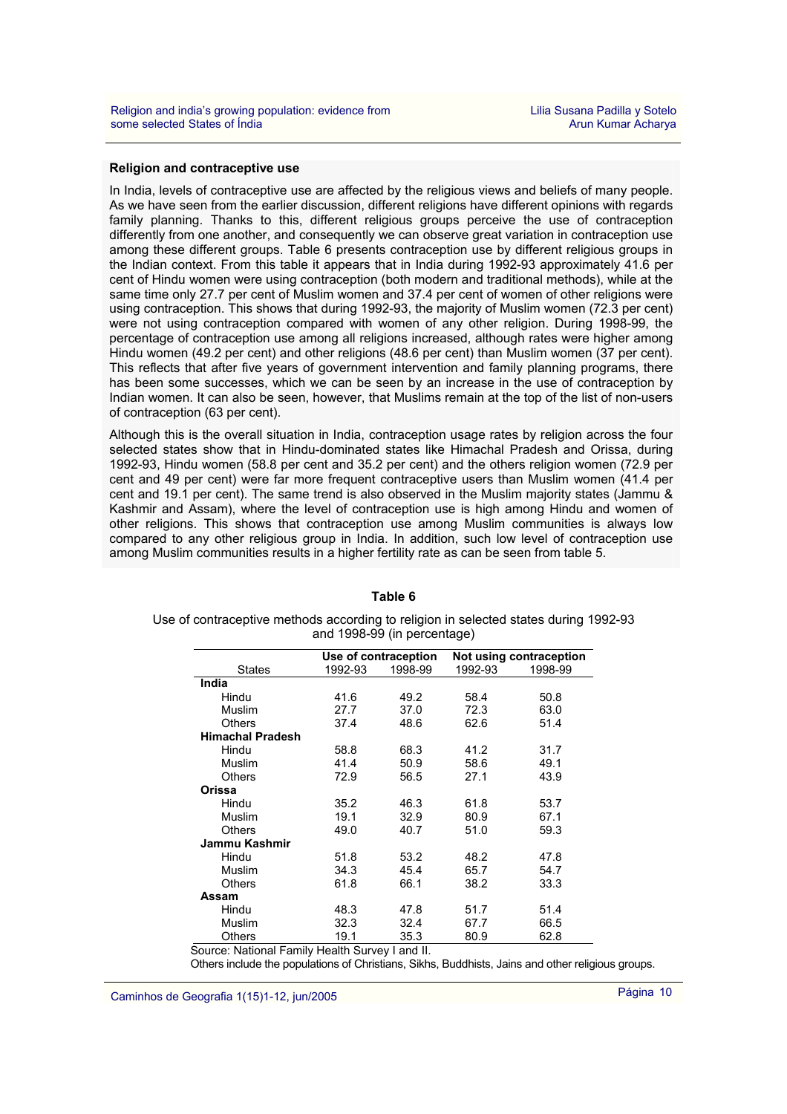## **Religion and contraceptive use**

In India, levels of contraceptive use are affected by the religious views and beliefs of many people. As we have seen from the earlier discussion, different religions have different opinions with regards family planning. Thanks to this, different religious groups perceive the use of contraception differently from one another, and consequently we can observe great variation in contraception use among these different groups. Table 6 presents contraception use by different religious groups in the Indian context. From this table it appears that in India during 1992-93 approximately 41.6 per cent of Hindu women were using contraception (both modern and traditional methods), while at the same time only 27.7 per cent of Muslim women and 37.4 per cent of women of other religions were using contraception. This shows that during 1992-93, the majority of Muslim women (72.3 per cent) were not using contraception compared with women of any other religion. During 1998-99, the percentage of contraception use among all religions increased, although rates were higher among Hindu women (49.2 per cent) and other religions (48.6 per cent) than Muslim women (37 per cent). This reflects that after five years of government intervention and family planning programs, there has been some successes, which we can be seen by an increase in the use of contraception by Indian women. It can also be seen, however, that Muslims remain at the top of the list of non-users of contraception (63 per cent).

Although this is the overall situation in India, contraception usage rates by religion across the four selected states show that in Hindu-dominated states like Himachal Pradesh and Orissa, during 1992-93, Hindu women (58.8 per cent and 35.2 per cent) and the others religion women (72.9 per cent and 49 per cent) were far more frequent contraceptive users than Muslim women (41.4 per cent and 19.1 per cent). The same trend is also observed in the Muslim majority states (Jammu & Kashmir and Assam), where the level of contraception use is high among Hindu and women of other religions. This shows that contraception use among Muslim communities is always low compared to any other religious group in India. In addition, such low level of contraception use among Muslim communities results in a higher fertility rate as can be seen from table 5.

|                         | Use of contraception |         | Not using contraception |         |
|-------------------------|----------------------|---------|-------------------------|---------|
| <b>States</b>           | 1992-93              | 1998-99 | 1992-93                 | 1998-99 |
| India                   |                      |         |                         |         |
| Hindu                   | 41.6                 | 49.2    | 58.4                    | 50.8    |
| Muslim                  | 27.7                 | 37.0    | 72.3                    | 63.0    |
| Others                  | 37.4                 | 48.6    | 62.6                    | 51.4    |
| <b>Himachal Pradesh</b> |                      |         |                         |         |
| Hindu                   | 58.8                 | 68.3    | 41.2                    | 31.7    |
| Muslim                  | 41.4                 | 50.9    | 58.6                    | 49.1    |
| <b>Others</b>           | 72.9                 | 56.5    | 27.1                    | 43.9    |
| Orissa                  |                      |         |                         |         |
| Hindu                   | 35.2                 | 46.3    | 61.8                    | 53.7    |
| Muslim                  | 19.1                 | 32.9    | 80.9                    | 67.1    |
| Others                  | 49.0                 | 40.7    | 51.0                    | 59.3    |
| Jammu Kashmir           |                      |         |                         |         |
| Hindu                   | 51.8                 | 53.2    | 48.2                    | 47.8    |
| Muslim                  | 34.3                 | 45.4    | 65.7                    | 54.7    |
| <b>Others</b>           | 61.8                 | 66.1    | 38.2                    | 33.3    |
| Assam                   |                      |         |                         |         |
| Hindu                   | 48.3                 | 47.8    | 51.7                    | 51.4    |
| Muslim                  | 32.3                 | 32.4    | 67.7                    | 66.5    |
| Others                  | 19.1                 | 35.3    | 80.9                    | 62.8    |

#### **Table 6**

### Use of contraceptive methods according to religion in selected states during 1992-93 and 1998-99 (in percentage)

Source: National Family Health Survey I and II.

Others include the populations of Christians, Sikhs, Buddhists, Jains and other religious groups.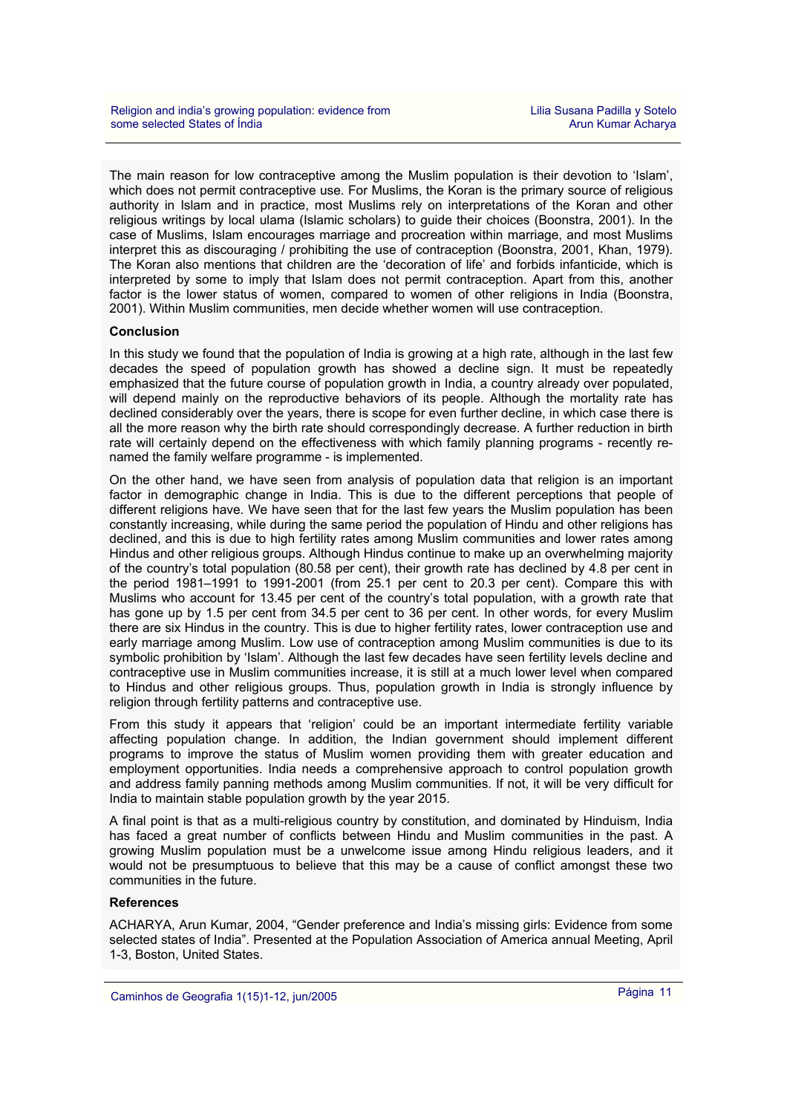The main reason for low contraceptive among the Muslim population is their devotion to 'Islam', which does not permit contraceptive use. For Muslims, the Koran is the primary source of religious authority in Islam and in practice, most Muslims rely on interpretations of the Koran and other religious writings by local ulama (Islamic scholars) to guide their choices (Boonstra, 2001). In the case of Muslims, Islam encourages marriage and procreation within marriage, and most Muslims interpret this as discouraging / prohibiting the use of contraception (Boonstra, 2001, Khan, 1979). The Koran also mentions that children are the 'decoration of life' and forbids infanticide, which is interpreted by some to imply that Islam does not permit contraception. Apart from this, another factor is the lower status of women, compared to women of other religions in India (Boonstra, 2001). Within Muslim communities, men decide whether women will use contraception.

## **Conclusion**

In this study we found that the population of India is growing at a high rate, although in the last few decades the speed of population growth has showed a decline sign. It must be repeatedly emphasized that the future course of population growth in India, a country already over populated, will depend mainly on the reproductive behaviors of its people. Although the mortality rate has declined considerably over the years, there is scope for even further decline, in which case there is all the more reason why the birth rate should correspondingly decrease. A further reduction in birth rate will certainly depend on the effectiveness with which family planning programs - recently renamed the family welfare programme - is implemented.

On the other hand, we have seen from analysis of population data that religion is an important factor in demographic change in India. This is due to the different perceptions that people of different religions have. We have seen that for the last few years the Muslim population has been constantly increasing, while during the same period the population of Hindu and other religions has declined, and this is due to high fertility rates among Muslim communities and lower rates among Hindus and other religious groups. Although Hindus continue to make up an overwhelming majority of the country's total population (80.58 per cent), their growth rate has declined by 4.8 per cent in the period 1981–1991 to 1991-2001 (from 25.1 per cent to 20.3 per cent). Compare this with Muslims who account for 13.45 per cent of the country's total population, with a growth rate that has gone up by 1.5 per cent from 34.5 per cent to 36 per cent. In other words, for every Muslim there are six Hindus in the country. This is due to higher fertility rates, lower contraception use and early marriage among Muslim. Low use of contraception among Muslim communities is due to its symbolic prohibition by 'Islam'. Although the last few decades have seen fertility levels decline and contraceptive use in Muslim communities increase, it is still at a much lower level when compared to Hindus and other religious groups. Thus, population growth in India is strongly influence by religion through fertility patterns and contraceptive use.

From this study it appears that 'religion' could be an important intermediate fertility variable affecting population change. In addition, the Indian government should implement different programs to improve the status of Muslim women providing them with greater education and employment opportunities. India needs a comprehensive approach to control population growth and address family panning methods among Muslim communities. If not, it will be very difficult for India to maintain stable population growth by the year 2015.

A final point is that as a multi-religious country by constitution, and dominated by Hinduism, India has faced a great number of conflicts between Hindu and Muslim communities in the past. A growing Muslim population must be a unwelcome issue among Hindu religious leaders, and it would not be presumptuous to believe that this may be a cause of conflict amongst these two communities in the future.

## **References**

ACHARYA, Arun Kumar, 2004, "Gender preference and India's missing girls: Evidence from some selected states of India". Presented at the Population Association of America annual Meeting, April 1-3, Boston, United States.